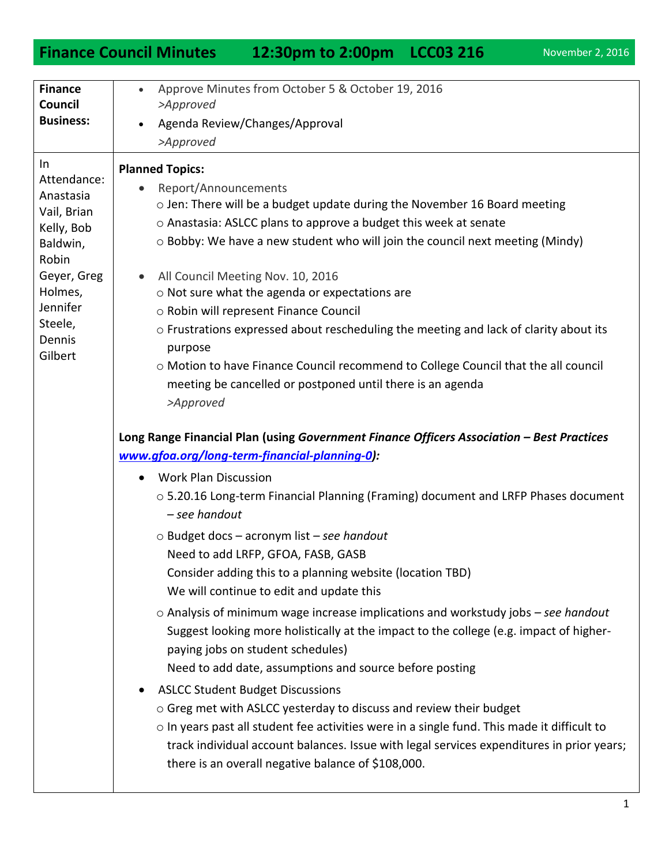## **Finance Council Minutes 12:30pm to 2:00pm LCC03 216** November 2, 2016

| <b>Finance</b><br>Council<br><b>Business:</b>                                                                                                           | Approve Minutes from October 5 & October 19, 2016<br>>Approved<br>Agenda Review/Changes/Approval<br>$\bullet$<br>>Approved                                                                                                                                                                                                                                                                                                                                                                                                                                                                                                                                                                                                                                                                                                                                                                                                                                                                                                                                                                                                                                                                                                                                                                                                                                                                                                                                                                                                                                                                                                                                                                                                                                                                                                                                                         |
|---------------------------------------------------------------------------------------------------------------------------------------------------------|------------------------------------------------------------------------------------------------------------------------------------------------------------------------------------------------------------------------------------------------------------------------------------------------------------------------------------------------------------------------------------------------------------------------------------------------------------------------------------------------------------------------------------------------------------------------------------------------------------------------------------------------------------------------------------------------------------------------------------------------------------------------------------------------------------------------------------------------------------------------------------------------------------------------------------------------------------------------------------------------------------------------------------------------------------------------------------------------------------------------------------------------------------------------------------------------------------------------------------------------------------------------------------------------------------------------------------------------------------------------------------------------------------------------------------------------------------------------------------------------------------------------------------------------------------------------------------------------------------------------------------------------------------------------------------------------------------------------------------------------------------------------------------------------------------------------------------------------------------------------------------|
| In.<br>Attendance:<br>Anastasia<br>Vail, Brian<br>Kelly, Bob<br>Baldwin,<br>Robin<br>Geyer, Greg<br>Holmes,<br>Jennifer<br>Steele,<br>Dennis<br>Gilbert | <b>Planned Topics:</b><br>Report/Announcements<br>o Jen: There will be a budget update during the November 16 Board meeting<br>o Anastasia: ASLCC plans to approve a budget this week at senate<br>o Bobby: We have a new student who will join the council next meeting (Mindy)<br>All Council Meeting Nov. 10, 2016<br>$\bullet$<br>o Not sure what the agenda or expectations are<br>o Robin will represent Finance Council<br>o Frustrations expressed about rescheduling the meeting and lack of clarity about its<br>purpose<br>o Motion to have Finance Council recommend to College Council that the all council<br>meeting be cancelled or postponed until there is an agenda<br>>Approved<br>Long Range Financial Plan (using Government Finance Officers Association - Best Practices<br>www.gfoa.org/long-term-financial-planning-0):<br><b>Work Plan Discussion</b><br>$\bullet$<br>○ 5.20.16 Long-term Financial Planning (Framing) document and LRFP Phases document<br>- see handout<br>$\circ$ Budget docs – acronym list – see handout<br>Need to add LRFP, GFOA, FASB, GASB<br>Consider adding this to a planning website (location TBD)<br>We will continue to edit and update this<br>$\circ$ Analysis of minimum wage increase implications and workstudy jobs – see handout<br>Suggest looking more holistically at the impact to the college (e.g. impact of higher-<br>paying jobs on student schedules)<br>Need to add date, assumptions and source before posting<br><b>ASLCC Student Budget Discussions</b><br>$\bullet$<br>○ Greg met with ASLCC yesterday to discuss and review their budget<br>$\circ$ In years past all student fee activities were in a single fund. This made it difficult to<br>track individual account balances. Issue with legal services expenditures in prior years;<br>there is an overall negative balance of \$108,000. |